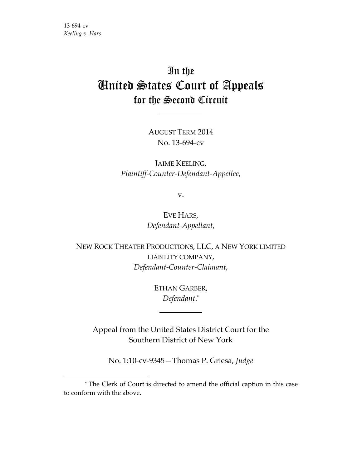$\overline{a}$ 

# In the United States Court of Appeals for the Second Circuit

AUGUST TERM 2014 No. 13‐694‐cv

JAIME KEELING, *Plaintiff‐Counter‐Defendant‐Appellee*,

v.

EVE HARS, *Defendant‐Appellant*,

NEW ROCK THEATER PRODUCTIONS, LLC, A NEW YORK LIMITED LIABILITY COMPANY, *Defendant‐Counter‐Claimant*,

> ETHAN GARBER, *Defendant*. \*

Appeal from the United States District Court for the Southern District of New York

No. 1:10‐cv‐9345—Thomas P. Griesa, *Judge*

<sup>\*</sup> The Clerk of Court is directed to amend the official caption in this case to conform with the above.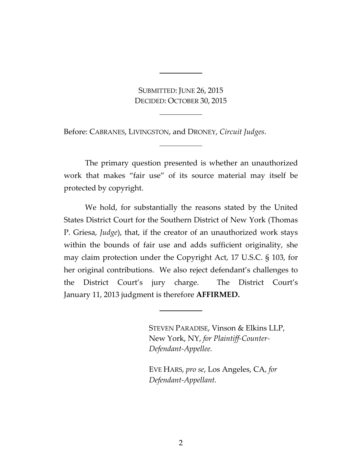SUBMITTED: JUNE 26, 2015 DECIDED: OCTOBER 30, 2015

Before: CABRANES, LIVINGSTON, and DRONEY, *Circuit Judges*.

The primary question presented is whether an unauthorized work that makes "fair use" of its source material may itself be protected by copyright.

We hold, for substantially the reasons stated by the United States District Court for the Southern District of New York (Thomas P. Griesa, *Judge*), that, if the creator of an unauthorized work stays within the bounds of fair use and adds sufficient originality, she may claim protection under the Copyright Act, 17 U.S.C. § 103, for her original contributions. We also reject defendant's challenges to the District Court's jury charge. The District Court's January 11, 2013 judgment is therefore **AFFIRMED.**

STEVEN PARADISE, Vinson & Elkins LLP, New York, NY, *for Plaintiff‐Counter‐ Defendant‐Appellee.*

EVE HARS, *pro se*, Los Angeles, CA, *for Defendant‐Appellant.*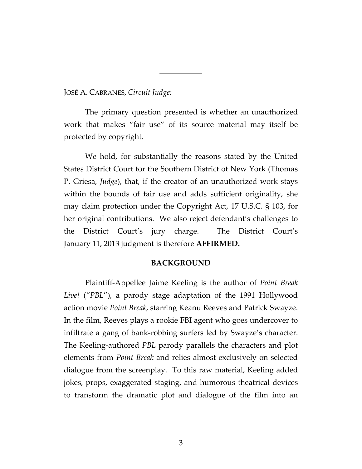JOSÉ A. CABRANES, *Circuit Judge:*

The primary question presented is whether an unauthorized work that makes "fair use" of its source material may itself be protected by copyright.

We hold, for substantially the reasons stated by the United States District Court for the Southern District of New York (Thomas P. Griesa, *Judge*), that, if the creator of an unauthorized work stays within the bounds of fair use and adds sufficient originality, she may claim protection under the Copyright Act, 17 U.S.C. § 103, for her original contributions. We also reject defendant's challenges to the District Court's jury charge. The District Court's January 11, 2013 judgment is therefore **AFFIRMED.**

## **BACKGROUND**

Plaintiff‐Appellee Jaime Keeling is the author of *Point Break Live!* ("*PBL*"), a parody stage adaptation of the 1991 Hollywood action movie *Point Break*, starring Keanu Reeves and Patrick Swayze. In the film, Reeves plays a rookie FBI agent who goes undercover to infiltrate a gang of bank‐robbing surfers led by Swayze's character. The Keeling‐authored *PBL* parody parallels the characters and plot elements from *Point Break* and relies almost exclusively on selected dialogue from the screenplay. To this raw material, Keeling added jokes, props, exaggerated staging, and humorous theatrical devices to transform the dramatic plot and dialogue of the film into an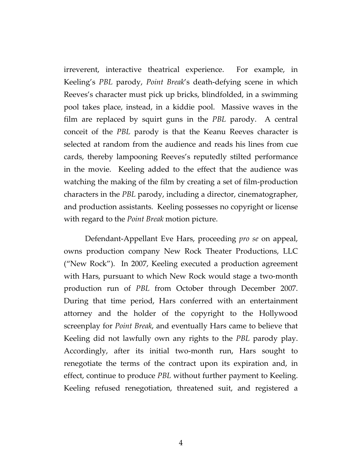irreverent, interactive theatrical experience. For example, in Keeling's *PBL* parody, *Point Break*'s death‐defying scene in which Reeves's character must pick up bricks, blindfolded, in a swimming pool takes place, instead, in a kiddie pool. Massive waves in the film are replaced by squirt guns in the *PBL* parody. A central conceit of the *PBL* parody is that the Keanu Reeves character is selected at random from the audience and reads his lines from cue cards, thereby lampooning Reeves's reputedly stilted performance in the movie. Keeling added to the effect that the audience was watching the making of the film by creating a set of film‐production characters in the *PBL* parody, including a director, cinematographer, and production assistants. Keeling possesses no copyright or license with regard to the *Point Break* motion picture.

Defendant‐Appellant Eve Hars, proceeding *pro se* on appeal, owns production company New Rock Theater Productions, LLC ("New Rock"). In 2007, Keeling executed a production agreement with Hars, pursuant to which New Rock would stage a two-month production run of *PBL* from October through December 2007. During that time period, Hars conferred with an entertainment attorney and the holder of the copyright to the Hollywood screenplay for *Point Break*, and eventually Hars came to believe that Keeling did not lawfully own any rights to the *PBL* parody play. Accordingly, after its initial two‐month run, Hars sought to renegotiate the terms of the contract upon its expiration and, in effect, continue to produce *PBL* without further payment to Keeling. Keeling refused renegotiation, threatened suit, and registered a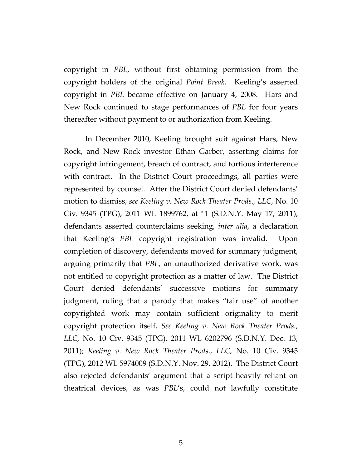copyright in *PBL*, without first obtaining permission from the copyright holders of the original *Point Break*. Keeling's asserted copyright in *PBL* became effective on January 4, 2008. Hars and New Rock continued to stage performances of *PBL* for four years thereafter without payment to or authorization from Keeling.

In December 2010, Keeling brought suit against Hars, New Rock, and New Rock investor Ethan Garber, asserting claims for copyright infringement, breach of contract, and tortious interference with contract. In the District Court proceedings, all parties were represented by counsel. After the District Court denied defendants' motion to dismiss, *see Keeling v. New Rock Theater Prods., LLC*, No. 10 Civ. 9345 (TPG), 2011 WL 1899762, at \*1 (S.D.N.Y. May 17, 2011), defendants asserted counterclaims seeking, *inter alia*, a declaration that Keeling's *PBL* copyright registration was invalid. Upon completion of discovery, defendants moved for summary judgment, arguing primarily that *PBL*, an unauthorized derivative work, was not entitled to copyright protection as a matter of law. The District Court denied defendants' successive motions for summary judgment, ruling that a parody that makes "fair use" of another copyrighted work may contain sufficient originality to merit copyright protection itself. *See Keeling v. New Rock Theater Prods., LLC,* No. 10 Civ. 9345 (TPG), 2011 WL 6202796 (S.D.N.Y. Dec. 13, 2011); *Keeling v. New Rock Theater Prods., LLC,* No. 10 Civ. 9345 (TPG), 2012 WL 5974009 (S.D.N.Y. Nov. 29, 2012). The District Court also rejected defendants' argument that a script heavily reliant on theatrical devices, as was *PBL*'s, could not lawfully constitute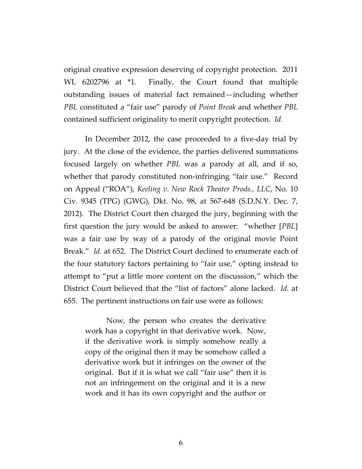original creative expression deserving of copyright protection. 2011 WL 6202796 at \*1. Finally, the Court found that multiple outstanding issues of material fact remained—including whether *PBL* constituted a "fair use" parody of *Point Break* and whether *PBL* contained sufficient originality to merit copyright protection. *Id.*

In December 2012, the case proceeded to a five‐day trial by jury. At the close of the evidence, the parties delivered summations focused largely on whether *PBL* was a parody at all, and if so, whether that parody constituted non-infringing "fair use." Record on Appeal ("ROA"), *Keeling v. New Rock Theater Prods., LLC*, No. 10 Civ. 9345 (TPG) (GWG), Dkt. No. 98, at 567‐648 (S.D.N.Y. Dec. 7, 2012). The District Court then charged the jury, beginning with the first question the jury would be asked to answer: "whether [*PBL*] was a fair use by way of a parody of the original movie Point Break." *Id.* at 652. The District Court declined to enumerate each of the four statutory factors pertaining to "fair use," opting instead to attempt to "put a little more content on the discussion," which the District Court believed that the "list of factors" alone lacked. *Id.* at 655. The pertinent instructions on fair use were as follows:

Now, the person who creates the derivative work has a copyright in that derivative work. Now, if the derivative work is simply somehow really a copy of the original then it may be somehow called a derivative work but it infringes on the owner of the original. But if it is what we call "fair use" then it is not an infringement on the original and it is a new work and it has its own copyright and the author or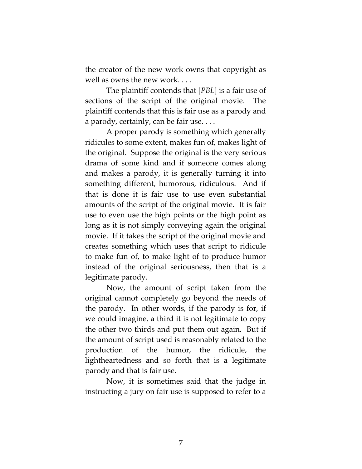the creator of the new work owns that copyright as well as owns the new work. . . .

The plaintiff contends that [*PBL*] is a fair use of sections of the script of the original movie. The plaintiff contends that this is fair use as a parody and a parody, certainly, can be fair use. . . .

A proper parody is something which generally ridicules to some extent, makes fun of, makes light of the original. Suppose the original is the very serious drama of some kind and if someone comes along and makes a parody, it is generally turning it into something different, humorous, ridiculous. And if that is done it is fair use to use even substantial amounts of the script of the original movie. It is fair use to even use the high points or the high point as long as it is not simply conveying again the original movie. If it takes the script of the original movie and creates something which uses that script to ridicule to make fun of, to make light of to produce humor instead of the original seriousness, then that is a legitimate parody.

Now, the amount of script taken from the original cannot completely go beyond the needs of the parody. In other words, if the parody is for, if we could imagine, a third it is not legitimate to copy the other two thirds and put them out again. But if the amount of script used is reasonably related to the production of the humor, the ridicule, the lightheartedness and so forth that is a legitimate parody and that is fair use.

Now, it is sometimes said that the judge in instructing a jury on fair use is supposed to refer to a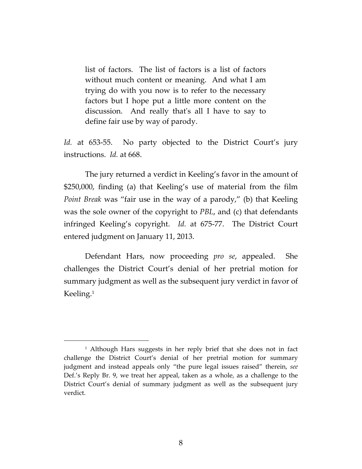list of factors. The list of factors is a list of factors without much content or meaning. And what I am trying do with you now is to refer to the necessary factors but I hope put a little more content on the discussion. And really that's all I have to say to define fair use by way of parody.

Id. at 653-55. No party objected to the District Court's jury instructions. *Id.* at 668.

The jury returned a verdict in Keeling's favor in the amount of \$250,000, finding (a) that Keeling's use of material from the film *Point Break* was "fair use in the way of a parody," (b) that Keeling was the sole owner of the copyright to *PBL*, and (c) that defendants infringed Keeling's copyright. *Id.* at 675‐77. The District Court entered judgment on January 11, 2013.

Defendant Hars, now proceeding *pro se*, appealed. She challenges the District Court's denial of her pretrial motion for summary judgment as well as the subsequent jury verdict in favor of Keeling.1

<sup>&</sup>lt;sup>1</sup> Although Hars suggests in her reply brief that she does not in fact challenge the District Court's denial of her pretrial motion for summary judgment and instead appeals only "the pure legal issues raised" therein, *see* Def.'s Reply Br. 9, we treat her appeal, taken as a whole, as a challenge to the District Court's denial of summary judgment as well as the subsequent jury verdict.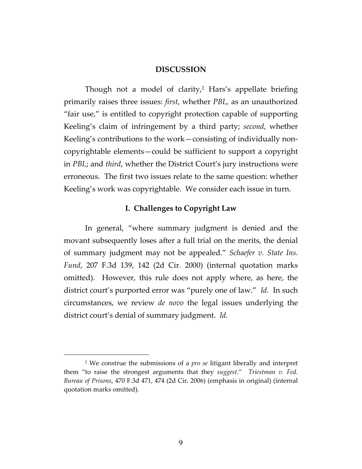## **DISCUSSION**

Though not a model of clarity, $2$  Hars's appellate briefing primarily raises three issues: *first*, whether *PBL*, as an unauthorized "fair use," is entitled to copyright protection capable of supporting Keeling's claim of infringement by a third party; *second*, whether Keeling's contributions to the work—consisting of individually noncopyrightable elements—could be sufficient to support a copyright in *PBL*; and *third*, whether the District Court's jury instructions were erroneous. The first two issues relate to the same question: whether Keeling's work was copyrightable. We consider each issue in turn.

## **I. Challenges to Copyright Law**

In general, "where summary judgment is denied and the movant subsequently loses after a full trial on the merits, the denial of summary judgment may not be appealed." *Schaefer v. State Ins. Fund*, 207 F.3d 139, 142 (2d Cir. 2000) (internal quotation marks omitted). However, this rule does not apply where, as here, the district court's purported error was "purely one of law." *Id.* In such circumstances, we review *de novo* the legal issues underlying the district court's denial of summary judgment. *Id.*

<sup>2</sup> We construe the submissions of a *pro se* litigant liberally and interpret them "to raise the strongest arguments that they *suggest*." *Triestman v. Fed. Bureau of Prisons*, 470 F.3d 471, 474 (2d Cir. 2006) (emphasis in original) (internal quotation marks omitted).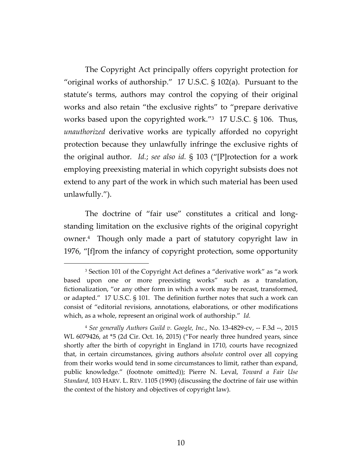The Copyright Act principally offers copyright protection for "original works of authorship." 17 U.S.C. § 102(a). Pursuant to the statute's terms, authors may control the copying of their original works and also retain "the exclusive rights" to "prepare derivative works based upon the copyrighted work."3 17 U.S.C. § 106. Thus, *unauthorized* derivative works are typically afforded no copyright protection because they unlawfully infringe the exclusive rights of the original author. *Id.*; *see also id.* § 103 ("[P]rotection for a work employing preexisting material in which copyright subsists does not extend to any part of the work in which such material has been used unlawfully.").

The doctrine of "fair use" constitutes a critical and longstanding limitation on the exclusive rights of the original copyright owner.<sup>4</sup> Though only made a part of statutory copyright law in 1976, "[f]rom the infancy of copyright protection, some opportunity

<sup>&</sup>lt;sup>3</sup> Section 101 of the Copyright Act defines a "derivative work" as "a work based upon one or more preexisting works" such as a translation, fictionalization, "or any other form in which a work may be recast, transformed, or adapted." 17 U.S.C. § 101. The definition further notes that such a work can consist of "editorial revisions, annotations, elaborations, or other modifications which, as a whole, represent an original work of authorship." *Id.*

<sup>4</sup> *See generally Authors Guild v. Google, Inc.*, No. 13‐4829‐cv, ‐‐ F.3d ‐‐, 2015 WL 6079426, at \*5 (2d Cir. Oct. 16, 2015) ("For nearly three hundred years, since shortly after the birth of copyright in England in 1710, courts have recognized that, in certain circumstances, giving authors *absolute* control over all copying from their works would tend in some circumstances to limit, rather than expand, public knowledge." (footnote omitted)); Pierre N. Leval, *Toward a Fair Use Standard*, 103 HARV. L. REV. 1105 (1990) (discussing the doctrine of fair use within the context of the history and objectives of copyright law).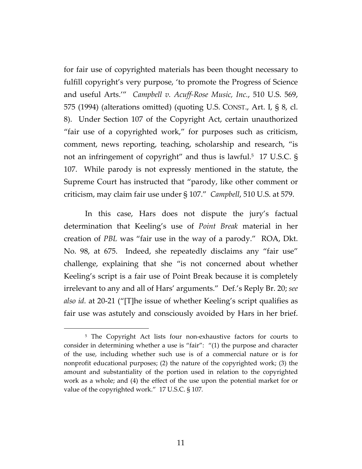for fair use of copyrighted materials has been thought necessary to fulfill copyright's very purpose, 'to promote the Progress of Science and useful Arts.'" *Campbell v. Acuff‐Rose Music, Inc.*, 510 U.S. 569, 575 (1994) (alterations omitted) (quoting U.S. CONST., Art. I, § 8, cl. 8). Under Section 107 of the Copyright Act, certain unauthorized "fair use of a copyrighted work," for purposes such as criticism, comment, news reporting, teaching, scholarship and research, "is not an infringement of copyright" and thus is lawful.5 17 U.S.C. § 107. While parody is not expressly mentioned in the statute, the Supreme Court has instructed that "parody, like other comment or criticism, may claim fair use under § 107." *Campbell*, 510 U.S. at 579.

In this case, Hars does not dispute the jury's factual determination that Keeling's use of *Point Break* material in her creation of *PBL* was "fair use in the way of a parody." ROA, Dkt. No. 98, at 675. Indeed, she repeatedly disclaims any "fair use" challenge, explaining that she "is not concerned about whether Keeling's script is a fair use of Point Break because it is completely irrelevant to any and all of Hars' arguments." Def.'s Reply Br. 20; *see also id.* at 20‐21 ("[T]he issue of whether Keeling's script qualifies as fair use was astutely and consciously avoided by Hars in her brief.

<sup>&</sup>lt;sup>5</sup> The Copyright Act lists four non-exhaustive factors for courts to consider in determining whether a use is "fair": "(1) the purpose and character of the use, including whether such use is of a commercial nature or is for nonprofit educational purposes; (2) the nature of the copyrighted work; (3) the amount and substantiality of the portion used in relation to the copyrighted work as a whole; and (4) the effect of the use upon the potential market for or value of the copyrighted work." 17 U.S.C. § 107*.*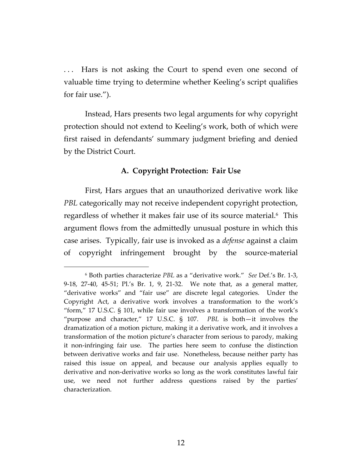... Hars is not asking the Court to spend even one second of valuable time trying to determine whether Keeling's script qualifies for fair use.").

Instead, Hars presents two legal arguments for why copyright protection should not extend to Keeling's work, both of which were first raised in defendants' summary judgment briefing and denied by the District Court.

# **A. Copyright Protection: Fair Use**

First, Hars argues that an unauthorized derivative work like *PBL* categorically may not receive independent copyright protection, regardless of whether it makes fair use of its source material.<sup>6</sup> This argument flows from the admittedly unusual posture in which this case arises. Typically, fair use is invoked as a *defense* against a claim of copyright infringement brought by the source-material

<sup>6</sup> Both parties characterize *PBL* as a "derivative work." *See* Def.'s Br. 1‐3, 9-18, 27-40, 45-51; Pl.'s Br. 1, 9, 21-32. We note that, as a general matter, "derivative works" and "fair use" are discrete legal categories. Under the Copyright Act, a derivative work involves a transformation to the work's "form," 17 U.S.C. § 101, while fair use involves a transformation of the work's "purpose and character," 17 U.S.C. § 107. *PBL* is both—it involves the dramatization of a motion picture, making it a derivative work, and it involves a transformation of the motion picture's character from serious to parody, making it non-infringing fair use. The parties here seem to confuse the distinction between derivative works and fair use. Nonetheless, because neither party has raised this issue on appeal, and because our analysis applies equally to derivative and non-derivative works so long as the work constitutes lawful fair use, we need not further address questions raised by the parties' characterization.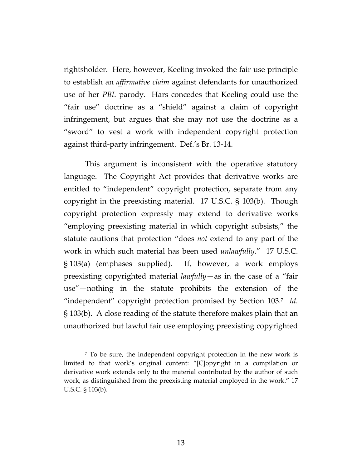rightsholder. Here, however, Keeling invoked the fair‐use principle to establish an *affirmative claim* against defendants for unauthorized use of her *PBL* parody. Hars concedes that Keeling could use the "fair use" doctrine as a "shield" against a claim of copyright infringement, but argues that she may not use the doctrine as a "sword" to vest a work with independent copyright protection against third‐party infringement. Def.'s Br. 13‐14.

This argument is inconsistent with the operative statutory language. The Copyright Act provides that derivative works are entitled to "independent" copyright protection, separate from any copyright in the preexisting material. 17 U.S.C. § 103(b). Though copyright protection expressly may extend to derivative works "employing preexisting material in which copyright subsists," the statute cautions that protection "does *not* extend to any part of the work in which such material has been used *unlawfully*." 17 U.S.C. § 103(a) (emphases supplied). If, however, a work employs preexisting copyrighted material *lawfully*—as in the case of a "fair use"—nothing in the statute prohibits the extension of the "independent" copyright protection promised by Section 103.7 *Id.* § 103(b). A close reading of the statute therefore makes plain that an unauthorized but lawful fair use employing preexisting copyrighted

<sup>7</sup> To be sure, the independent copyright protection in the new work is limited to that work's original content: "[C]opyright in a compilation or derivative work extends only to the material contributed by the author of such work, as distinguished from the preexisting material employed in the work." 17 U.S.C. § 103(b).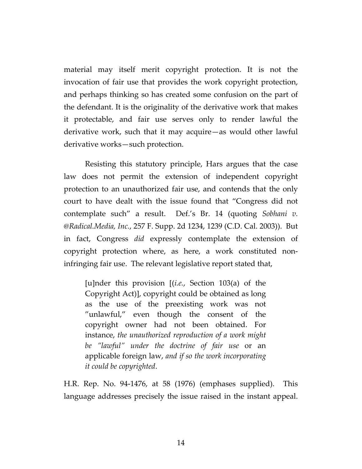material may itself merit copyright protection. It is not the invocation of fair use that provides the work copyright protection, and perhaps thinking so has created some confusion on the part of the defendant. It is the originality of the derivative work that makes it protectable, and fair use serves only to render lawful the derivative work, such that it may acquire—as would other lawful derivative works—such protection.

Resisting this statutory principle, Hars argues that the case law does not permit the extension of independent copyright protection to an unauthorized fair use, and contends that the only court to have dealt with the issue found that "Congress did not contemplate such" a result. Def.'s Br. 14 (quoting *Sobhani v. @Radical.Media, Inc.*, 257 F. Supp. 2d 1234, 1239 (C.D. Cal. 2003)). But in fact, Congress *did* expressly contemplate the extension of copyright protection where, as here, a work constituted non‐ infringing fair use. The relevant legislative report stated that,

[u]nder this provision [(*i.e.*, Section 103(a) of the Copyright Act)], copyright could be obtained as long as the use of the preexisting work was not "unlawful," even though the consent of the copyright owner had not been obtained. For instance, *the unauthorized reproduction of a work might be "lawful" under the doctrine of fair use* or an applicable foreign law, *and if so the work incorporating it could be copyrighted*.

H.R. Rep. No. 94‐1476, at 58 (1976) (emphases supplied). This language addresses precisely the issue raised in the instant appeal.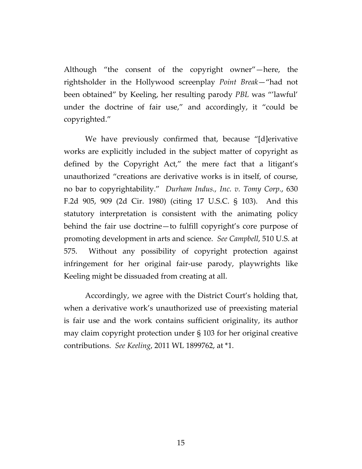Although "the consent of the copyright owner"—here, the rightsholder in the Hollywood screenplay *Point Break*—"had not been obtained" by Keeling, her resulting parody *PBL* was "'lawful' under the doctrine of fair use," and accordingly, it "could be copyrighted."

We have previously confirmed that, because "[d]erivative works are explicitly included in the subject matter of copyright as defined by the Copyright Act," the mere fact that a litigant's unauthorized "creations are derivative works is in itself, of course, no bar to copyrightability." *Durham Indus., Inc. v. Tomy Corp.*, 630 F.2d 905, 909 (2d Cir. 1980) (citing 17 U.S.C. § 103). And this statutory interpretation is consistent with the animating policy behind the fair use doctrine—to fulfill copyright's core purpose of promoting development in arts and science. *See Campbell*, 510 U.S. at 575. Without any possibility of copyright protection against infringement for her original fair‐use parody, playwrights like Keeling might be dissuaded from creating at all.

Accordingly, we agree with the District Court's holding that, when a derivative work's unauthorized use of preexisting material is fair use and the work contains sufficient originality, its author may claim copyright protection under § 103 for her original creative contributions. *See Keeling*, 2011 WL 1899762, at \*1.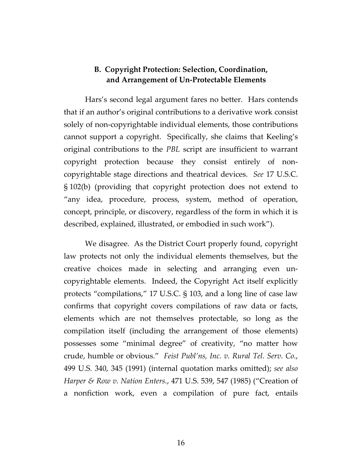# **B. Copyright Protection: Selection, Coordination, and Arrangement of Un‐Protectable Elements**

Hars's second legal argument fares no better. Hars contends that if an author's original contributions to a derivative work consist solely of non-copyrightable individual elements, those contributions cannot support a copyright. Specifically, she claims that Keeling's original contributions to the *PBL* script are insufficient to warrant copyright protection because they consist entirely of noncopyrightable stage directions and theatrical devices. *See* 17 U.S.C. § 102(b) (providing that copyright protection does not extend to "any idea, procedure, process, system, method of operation, concept, principle, or discovery, regardless of the form in which it is described, explained, illustrated, or embodied in such work").

We disagree. As the District Court properly found, copyright law protects not only the individual elements themselves, but the creative choices made in selecting and arranging even uncopyrightable elements. Indeed, the Copyright Act itself explicitly protects "compilations," 17 U.S.C. § 103, and a long line of case law confirms that copyright covers compilations of raw data or facts, elements which are not themselves protectable, so long as the compilation itself (including the arrangement of those elements) possesses some "minimal degree" of creativity, "no matter how crude, humble or obvious." *Feist Publ'ns, Inc. v. Rural Tel. Serv. Co.*, 499 U.S. 340, 345 (1991) (internal quotation marks omitted); *see also Harper & Row v. Nation Enters.*, 471 U.S. 539, 547 (1985) ("Creation of a nonfiction work, even a compilation of pure fact, entails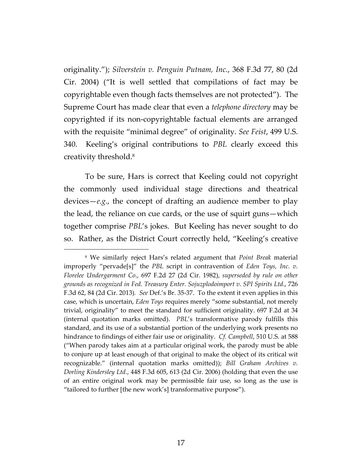originality."); *Silverstein v. Penguin Putnam, Inc.*, 368 F.3d 77, 80 (2d Cir. 2004) ("It is well settled that compilations of fact may be copyrightable even though facts themselves are not protected"). The Supreme Court has made clear that even a *telephone directory* may be copyrighted if its non‐copyrightable factual elements are arranged with the requisite "minimal degree" of originality. *See Feist*, 499 U.S. 340. Keeling's original contributions to *PBL* clearly exceed this creativity threshold.8

To be sure, Hars is correct that Keeling could not copyright the commonly used individual stage directions and theatrical devices—*e.g.*, the concept of drafting an audience member to play the lead, the reliance on cue cards, or the use of squirt guns—which together comprise *PBL*'s jokes. But Keeling has never sought to do so. Rather, as the District Court correctly held, "Keeling's creative

<sup>8</sup> We similarly reject Hars's related argument that *Point Break* material improperly "pervade[s]" the *PBL* script in contravention of *Eden Toys, Inc. v. Florelee Undergarment Co*., 697 F.2d 27 (2d Cir. 1982), *superseded by rule on other grounds as recognized in Fed. Treasury Enter. Sojuzplodoimport v. SPI Spirits Ltd.*, 726 F.3d 62, 84 (2d Cir. 2013)*. See* Def.'s Br. 35‐37. To the extent it even applies in this case, which is uncertain, *Eden Toys* requires merely "some substantial, not merely trivial, originality" to meet the standard for sufficient originality. 697 F.2d at 34 (internal quotation marks omitted). *PBL*'s transformative parody fulfills this standard, and its use of a substantial portion of the underlying work presents no hindrance to findings of either fair use or originality. *Cf. Campbell*, 510 U.S. at 588 ("When parody takes aim at a particular original work, the parody must be able to conjure up at least enough of that original to make the object of its critical wit recognizable." (internal quotation marks omitted)); *Bill Graham Archives v. Dorling Kindersley Ltd.*, 448 F.3d 605, 613 (2d Cir. 2006) (holding that even the use of an entire original work may be permissible fair use, so long as the use is "tailored to further [the new work's] transformative purpose").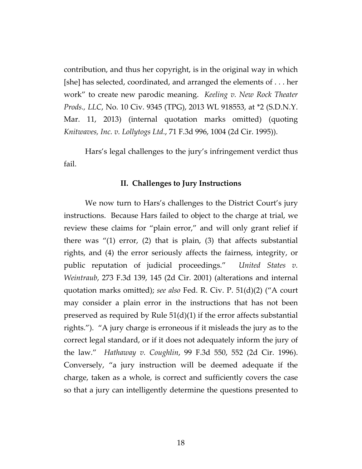contribution, and thus her copyright, is in the original way in which [she] has selected, coordinated, and arranged the elements of . . . her work" to create new parodic meaning. *Keeling v. New Rock Theater Prods., LLC*, No. 10 Civ. 9345 (TPG), 2013 WL 918553, at \*2 (S.D.N.Y. Mar. 11, 2013) (internal quotation marks omitted) (quoting *Knitwaves, Inc. v. Lollytogs Ltd.*, 71 F.3d 996, 1004 (2d Cir. 1995)).

Hars's legal challenges to the jury's infringement verdict thus fail.

## **II. Challenges to Jury Instructions**

We now turn to Hars's challenges to the District Court's jury instructions. Because Hars failed to object to the charge at trial, we review these claims for "plain error," and will only grant relief if there was "(1) error, (2) that is plain, (3) that affects substantial rights, and (4) the error seriously affects the fairness, integrity, or public reputation of judicial proceedings." *United States v. Weintraub*, 273 F.3d 139, 145 (2d Cir. 2001) (alterations and internal quotation marks omitted); *see also* Fed. R. Civ. P. 51(d)(2) ("A court may consider a plain error in the instructions that has not been preserved as required by Rule 51(d)(1) if the error affects substantial rights."). "A jury charge is erroneous if it misleads the jury as to the correct legal standard, or if it does not adequately inform the jury of the law." *Hathaway v. Coughlin*, 99 F.3d 550, 552 (2d Cir. 1996). Conversely, "a jury instruction will be deemed adequate if the charge, taken as a whole, is correct and sufficiently covers the case so that a jury can intelligently determine the questions presented to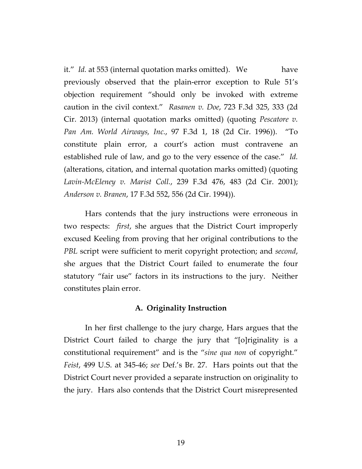it." *Id.* at 553 (internal quotation marks omitted). We have previously observed that the plain‐error exception to Rule 51's objection requirement "should only be invoked with extreme caution in the civil context." *Rasanen v. Doe*, 723 F.3d 325, 333 (2d Cir. 2013) (internal quotation marks omitted) (quoting *Pescatore v. Pan Am. World Airways, Inc.*, 97 F.3d 1, 18 (2d Cir. 1996)). "To constitute plain error, a court's action must contravene an established rule of law, and go to the very essence of the case." *Id.* (alterations, citation, and internal quotation marks omitted) (quoting *Lavin‐McEleney v. Marist Coll.*, 239 F.3d 476, 483 (2d Cir. 2001); *Anderson v. Branen*, 17 F.3d 552, 556 (2d Cir. 1994)).

Hars contends that the jury instructions were erroneous in two respects: *first*, she argues that the District Court improperly excused Keeling from proving that her original contributions to the *PBL* script were sufficient to merit copyright protection; and *second*, she argues that the District Court failed to enumerate the four statutory "fair use" factors in its instructions to the jury. Neither constitutes plain error.

## **A. Originality Instruction**

In her first challenge to the jury charge, Hars argues that the District Court failed to charge the jury that "[o]riginality is a constitutional requirement" and is the "*sine qua non* of copyright." *Feist*, 499 U.S. at 345‐46; *see* Def.'s Br. 27. Hars points out that the District Court never provided a separate instruction on originality to the jury. Hars also contends that the District Court misrepresented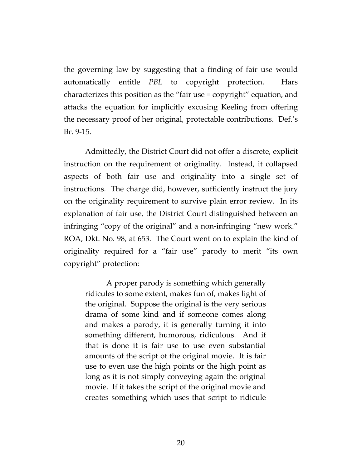the governing law by suggesting that a finding of fair use would automatically entitle *PBL* to copyright protection. Hars characterizes this position as the "fair use = copyright" equation, and attacks the equation for implicitly excusing Keeling from offering the necessary proof of her original, protectable contributions. Def.'s Br. 9‐15.

Admittedly, the District Court did not offer a discrete, explicit instruction on the requirement of originality. Instead, it collapsed aspects of both fair use and originality into a single set of instructions. The charge did, however, sufficiently instruct the jury on the originality requirement to survive plain error review. In its explanation of fair use, the District Court distinguished between an infringing "copy of the original" and a non‐infringing "new work." ROA, Dkt. No. 98, at 653. The Court went on to explain the kind of originality required for a "fair use" parody to merit "its own copyright" protection:

A proper parody is something which generally ridicules to some extent, makes fun of, makes light of the original. Suppose the original is the very serious drama of some kind and if someone comes along and makes a parody, it is generally turning it into something different, humorous, ridiculous. And if that is done it is fair use to use even substantial amounts of the script of the original movie. It is fair use to even use the high points or the high point as long as it is not simply conveying again the original movie. If it takes the script of the original movie and creates something which uses that script to ridicule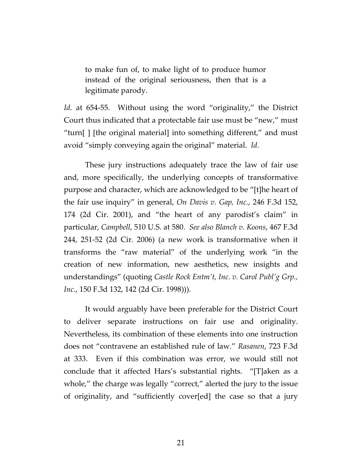to make fun of, to make light of to produce humor instead of the original seriousness, then that is a legitimate parody.

Id. at 654-55. Without using the word "originality," the District Court thus indicated that a protectable fair use must be "new," must "turn[ ] [the original material] into something different," and must avoid "simply conveying again the original" material. *Id.*

These jury instructions adequately trace the law of fair use and, more specifically, the underlying concepts of transformative purpose and character, which are acknowledged to be "[t]he heart of the fair use inquiry" in general, *On Davis v. Gap, Inc.*, 246 F.3d 152, 174 (2d Cir. 2001), and "the heart of any parodist's claim" in particular, *Campbell*, 510 U.S. at 580. *See also Blanch v. Koons*, 467 F.3d 244, 251‐52 (2d Cir. 2006) (a new work is transformative when it transforms the "raw material" of the underlying work "in the creation of new information, new aesthetics, new insights and understandings" (quoting *Castle Rock Entm't, Inc. v. Carol Publ'g Grp., Inc.*, 150 F.3d 132, 142 (2d Cir. 1998))).

It would arguably have been preferable for the District Court to deliver separate instructions on fair use and originality. Nevertheless, its combination of these elements into one instruction does not "contravene an established rule of law." *Rasanen*, 723 F.3d at 333. Even if this combination was error, we would still not conclude that it affected Hars's substantial rights. "[T]aken as a whole," the charge was legally "correct," alerted the jury to the issue of originality, and "sufficiently cover[ed] the case so that a jury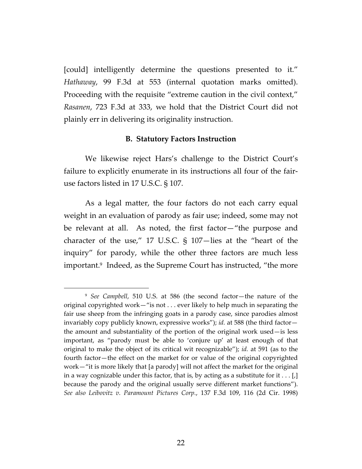[could] intelligently determine the questions presented to it." *Hathaway*, 99 F.3d at 553 (internal quotation marks omitted). Proceeding with the requisite "extreme caution in the civil context," *Rasanen*, 723 F.3d at 333, we hold that the District Court did not plainly err in delivering its originality instruction.

## **B. Statutory Factors Instruction**

We likewise reject Hars's challenge to the District Court's failure to explicitly enumerate in its instructions all four of the fair‐ use factors listed in 17 U.S.C. § 107.

As a legal matter, the four factors do not each carry equal weight in an evaluation of parody as fair use; indeed, some may not be relevant at all. As noted, the first factor—"the purpose and character of the use," 17 U.S.C. § 107—lies at the "heart of the inquiry" for parody, while the other three factors are much less important.<sup>9</sup> Indeed, as the Supreme Court has instructed, "the more

<sup>9</sup> *See Campbell*, 510 U.S. at 586 (the second factor—the nature of the original copyrighted work—"is not . . . ever likely to help much in separating the fair use sheep from the infringing goats in a parody case, since parodies almost invariably copy publicly known, expressive works"); *id.* at 588 (the third factor the amount and substantiality of the portion of the original work used—is less important, as "parody must be able to 'conjure up' at least enough of that original to make the object of its critical wit recognizable"); *id.* at 591 (as to the fourth factor—the effect on the market for or value of the original copyrighted work—"it is more likely that [a parody] will not affect the market for the original in a way cognizable under this factor, that is, by acting as a substitute for it  $\dots$  [,] because the parody and the original usually serve different market functions"). *See also Leibovitz v. Paramount Pictures Corp.*, 137 F.3d 109, 116 (2d Cir. 1998)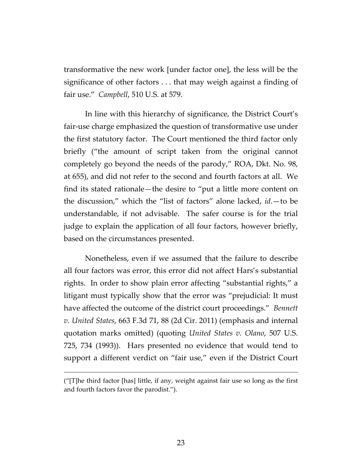transformative the new work [under factor one], the less will be the significance of other factors . . . that may weigh against a finding of fair use." *Campbell*, 510 U.S. at 579.

In line with this hierarchy of significance, the District Court's fair-use charge emphasized the question of transformative use under the first statutory factor. The Court mentioned the third factor only briefly ("the amount of script taken from the original cannot completely go beyond the needs of the parody," ROA, Dkt. No. 98, at 655), and did not refer to the second and fourth factors at all. We find its stated rationale—the desire to "put a little more content on the discussion," which the "list of factors" alone lacked, *id*.—to be understandable, if not advisable. The safer course is for the trial judge to explain the application of all four factors, however briefly, based on the circumstances presented.

Nonetheless, even if we assumed that the failure to describe all four factors was error, this error did not affect Hars's substantial rights. In order to show plain error affecting "substantial rights," a litigant must typically show that the error was "prejudicial: It must have affected the outcome of the district court proceedings." *Bennett v. United States*, 663 F.3d 71, 88 (2d Cir. 2011) (emphasis and internal quotation marks omitted) (quoting *United States v. Olano*, 507 U.S. 725, 734 (1993)). Hars presented no evidence that would tend to support a different verdict on "fair use," even if the District Court

<sup>(&</sup>quot;[T]he third factor [has] little, if any, weight against fair use so long as the first and fourth factors favor the parodist.").